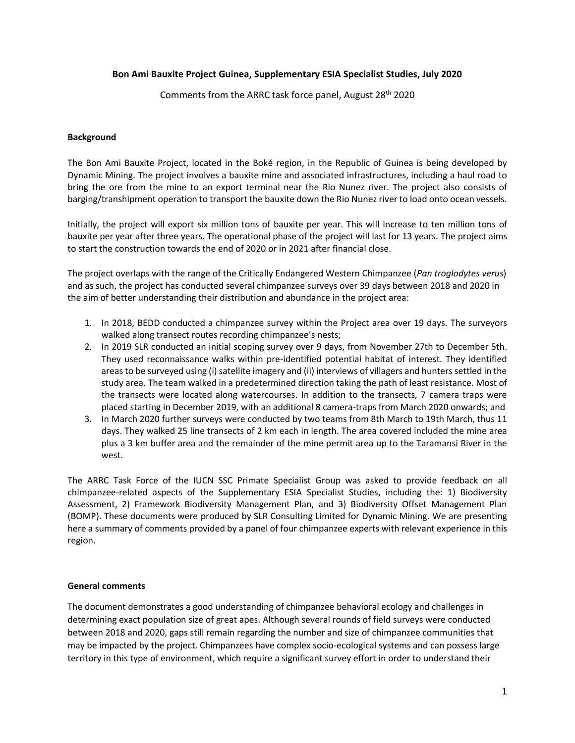## **Bon Ami Bauxite Project Guinea, Supplementary ESIA Specialist Studies, July 2020**

Comments from the ARRC task force panel, August 28<sup>th</sup> 2020

#### **Background**

The Bon Ami Bauxite Project, located in the Boké region, in the Republic of Guinea is being developed by Dynamic Mining. The project involves a bauxite mine and associated infrastructures, including a haul road to bring the ore from the mine to an export terminal near the Rio Nunez river. The project also consists of barging/transhipment operation to transport the bauxite down the Rio Nunez river to load onto ocean vessels.

Initially, the project will export six million tons of bauxite per year. This will increase to ten million tons of bauxite per year after three years. The operational phase of the project will last for 13 years. The project aims to start the construction towards the end of 2020 or in 2021 after financial close.

The project overlaps with the range of the Critically Endangered Western Chimpanzee (*Pan troglodytes verus*) and as such, the project has conducted several chimpanzee surveys over 39 days between 2018 and 2020 in the aim of better understanding their distribution and abundance in the project area:

- 1. In 2018, BEDD conducted a chimpanzee survey within the Project area over 19 days. The surveyors walked along transect routes recording chimpanzee's nests;
- 2. In 2019 SLR conducted an initial scoping survey over 9 days, from November 27th to December 5th. They used reconnaissance walks within pre-identified potential habitat of interest. They identified areas to be surveyed using (i) satellite imagery and (ii) interviews of villagers and hunters settled in the study area. The team walked in a predetermined direction taking the path of least resistance. Most of the transects were located along watercourses. In addition to the transects, 7 camera traps were placed starting in December 2019, with an additional 8 camera-traps from March 2020 onwards; and
- 3. In March 2020 further surveys were conducted by two teams from 8th March to 19th March, thus 11 days. They walked 25 line transects of 2 km each in length. The area covered included the mine area plus a 3 km buffer area and the remainder of the mine permit area up to the Taramansi River in the west.

The ARRC Task Force of the IUCN SSC Primate Specialist Group was asked to provide feedback on all chimpanzee-related aspects of the Supplementary ESIA Specialist Studies, including the: 1) Biodiversity Assessment, 2) Framework Biodiversity Management Plan, and 3) Biodiversity Offset Management Plan (BOMP). These documents were produced by SLR Consulting Limited for Dynamic Mining. We are presenting here a summary of comments provided by a panel of four chimpanzee experts with relevant experience in this region.

#### **General comments**

The document demonstrates a good understanding of chimpanzee behavioral ecology and challenges in determining exact population size of great apes. Although several rounds of field surveys were conducted between 2018 and 2020, gaps still remain regarding the number and size of chimpanzee communities that may be impacted by the project. Chimpanzees have complex socio-ecological systems and can possess large territory in this type of environment, which require a significant survey effort in order to understand their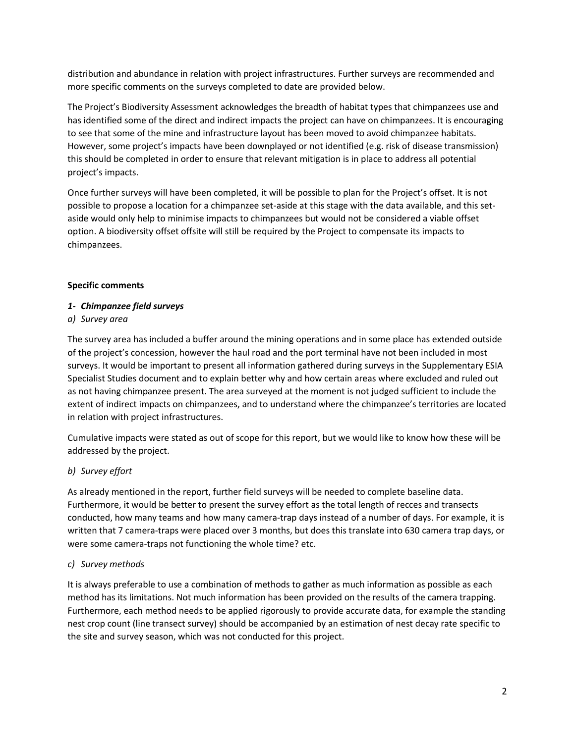distribution and abundance in relation with project infrastructures. Further surveys are recommended and more specific comments on the surveys completed to date are provided below.

The Project's Biodiversity Assessment acknowledges the breadth of habitat types that chimpanzees use and has identified some of the direct and indirect impacts the project can have on chimpanzees. It is encouraging to see that some of the mine and infrastructure layout has been moved to avoid chimpanzee habitats. However, some project's impacts have been downplayed or not identified (e.g. risk of disease transmission) this should be completed in order to ensure that relevant mitigation is in place to address all potential project's impacts.

Once further surveys will have been completed, it will be possible to plan for the Project's offset. It is not possible to propose a location for a chimpanzee set-aside at this stage with the data available, and this setaside would only help to minimise impacts to chimpanzees but would not be considered a viable offset option. A biodiversity offset offsite will still be required by the Project to compensate its impacts to chimpanzees.

## **Specific comments**

# *1- Chimpanzee field surveys*

## *a) Survey area*

The survey area has included a buffer around the mining operations and in some place has extended outside of the project's concession, however the haul road and the port terminal have not been included in most surveys. It would be important to present all information gathered during surveys in the Supplementary ESIA Specialist Studies document and to explain better why and how certain areas where excluded and ruled out as not having chimpanzee present. The area surveyed at the moment is not judged sufficient to include the extent of indirect impacts on chimpanzees, and to understand where the chimpanzee's territories are located in relation with project infrastructures.

Cumulative impacts were stated as out of scope for this report, but we would like to know how these will be addressed by the project.

# *b) Survey effort*

As already mentioned in the report, further field surveys will be needed to complete baseline data. Furthermore, it would be better to present the survey effort as the total length of recces and transects conducted, how many teams and how many camera-trap days instead of a number of days. For example, it is written that 7 camera-traps were placed over 3 months, but does this translate into 630 camera trap days, or were some camera-traps not functioning the whole time? etc.

#### *c) Survey methods*

It is always preferable to use a combination of methods to gather as much information as possible as each method has its limitations. Not much information has been provided on the results of the camera trapping. Furthermore, each method needs to be applied rigorously to provide accurate data, for example the standing nest crop count (line transect survey) should be accompanied by an estimation of nest decay rate specific to the site and survey season, which was not conducted for this project.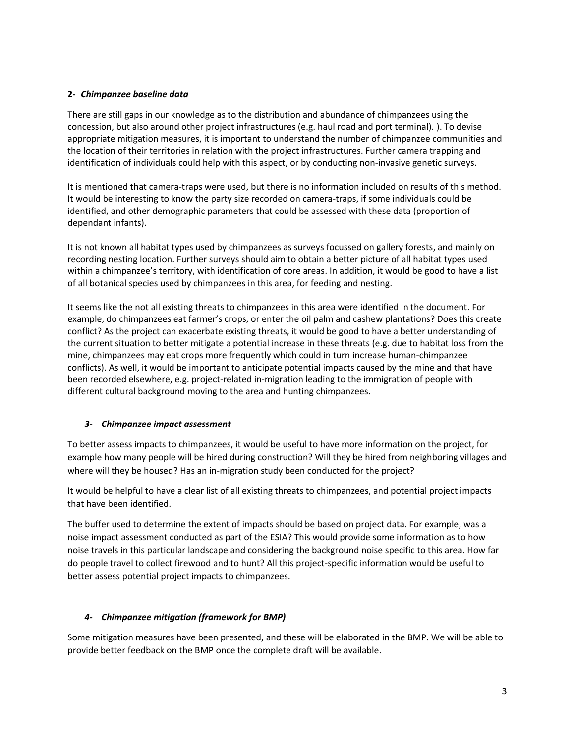# **2-** *Chimpanzee baseline data*

There are still gaps in our knowledge as to the distribution and abundance of chimpanzees using the concession, but also around other project infrastructures (e.g. haul road and port terminal). ). To devise appropriate mitigation measures, it is important to understand the number of chimpanzee communities and the location of their territories in relation with the project infrastructures. Further camera trapping and identification of individuals could help with this aspect, or by conducting non-invasive genetic surveys.

It is mentioned that camera-traps were used, but there is no information included on results of this method. It would be interesting to know the party size recorded on camera-traps, if some individuals could be identified, and other demographic parameters that could be assessed with these data (proportion of dependant infants).

It is not known all habitat types used by chimpanzees as surveys focussed on gallery forests, and mainly on recording nesting location. Further surveys should aim to obtain a better picture of all habitat types used within a chimpanzee's territory, with identification of core areas. In addition, it would be good to have a list of all botanical species used by chimpanzees in this area, for feeding and nesting.

It seems like the not all existing threats to chimpanzees in this area were identified in the document. For example, do chimpanzees eat farmer's crops, or enter the oil palm and cashew plantations? Does this create conflict? As the project can exacerbate existing threats, it would be good to have a better understanding of the current situation to better mitigate a potential increase in these threats (e.g. due to habitat loss from the mine, chimpanzees may eat crops more frequently which could in turn increase human-chimpanzee conflicts). As well, it would be important to anticipate potential impacts caused by the mine and that have been recorded elsewhere, e.g. project-related in-migration leading to the immigration of people with different cultural background moving to the area and hunting chimpanzees.

# *3- Chimpanzee impact assessment*

To better assess impacts to chimpanzees, it would be useful to have more information on the project, for example how many people will be hired during construction? Will they be hired from neighboring villages and where will they be housed? Has an in-migration study been conducted for the project?

It would be helpful to have a clear list of all existing threats to chimpanzees, and potential project impacts that have been identified.

The buffer used to determine the extent of impacts should be based on project data. For example, was a noise impact assessment conducted as part of the ESIA? This would provide some information as to how noise travels in this particular landscape and considering the background noise specific to this area. How far do people travel to collect firewood and to hunt? All this project-specific information would be useful to better assess potential project impacts to chimpanzees.

# *4- Chimpanzee mitigation (framework for BMP)*

Some mitigation measures have been presented, and these will be elaborated in the BMP. We will be able to provide better feedback on the BMP once the complete draft will be available.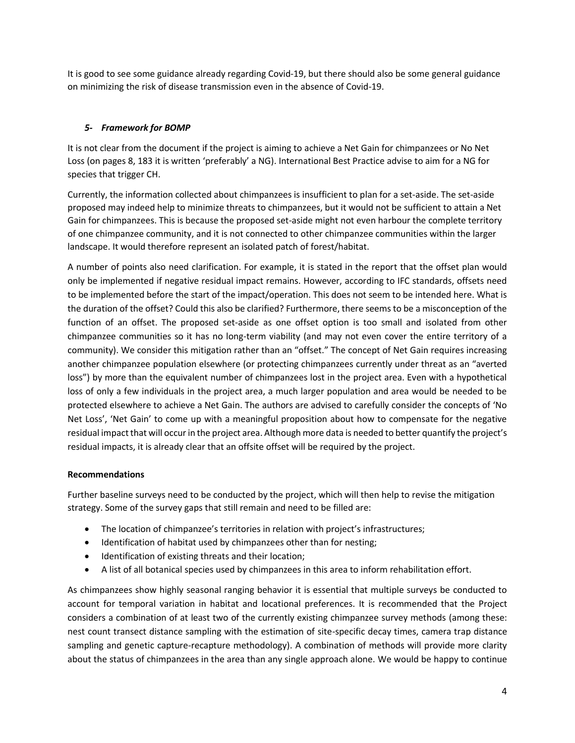It is good to see some guidance already regarding Covid-19, but there should also be some general guidance on minimizing the risk of disease transmission even in the absence of Covid-19.

# *5- Framework for BOMP*

It is not clear from the document if the project is aiming to achieve a Net Gain for chimpanzees or No Net Loss (on pages 8, 183 it is written 'preferably' a NG). International Best Practice advise to aim for a NG for species that trigger CH.

Currently, the information collected about chimpanzees is insufficient to plan for a set-aside. The set-aside proposed may indeed help to minimize threats to chimpanzees, but it would not be sufficient to attain a Net Gain for chimpanzees. This is because the proposed set-aside might not even harbour the complete territory of one chimpanzee community, and it is not connected to other chimpanzee communities within the larger landscape. It would therefore represent an isolated patch of forest/habitat.

A number of points also need clarification. For example, it is stated in the report that the offset plan would only be implemented if negative residual impact remains. However, according to IFC standards, offsets need to be implemented before the start of the impact/operation. This does not seem to be intended here. What is the duration of the offset? Could this also be clarified? Furthermore, there seems to be a misconception of the function of an offset. The proposed set-aside as one offset option is too small and isolated from other chimpanzee communities so it has no long-term viability (and may not even cover the entire territory of a community). We consider this mitigation rather than an "offset." The concept of Net Gain requires increasing another chimpanzee population elsewhere (or protecting chimpanzees currently under threat as an "averted loss") by more than the equivalent number of chimpanzees lost in the project area. Even with a hypothetical loss of only a few individuals in the project area, a much larger population and area would be needed to be protected elsewhere to achieve a Net Gain. The authors are advised to carefully consider the concepts of 'No Net Loss', 'Net Gain' to come up with a meaningful proposition about how to compensate for the negative residual impact that will occur in the project area. Although more data is needed to better quantify the project's residual impacts, it is already clear that an offsite offset will be required by the project.

# **Recommendations**

Further baseline surveys need to be conducted by the project, which will then help to revise the mitigation strategy. Some of the survey gaps that still remain and need to be filled are:

- The location of chimpanzee's territories in relation with project's infrastructures;
- Identification of habitat used by chimpanzees other than for nesting;
- Identification of existing threats and their location;
- A list of all botanical species used by chimpanzees in this area to inform rehabilitation effort.

As chimpanzees show highly seasonal ranging behavior it is essential that multiple surveys be conducted to account for temporal variation in habitat and locational preferences. It is recommended that the Project considers a combination of at least two of the currently existing chimpanzee survey methods (among these: nest count transect distance sampling with the estimation of site-specific decay times, camera trap distance sampling and genetic capture-recapture methodology). A combination of methods will provide more clarity about the status of chimpanzees in the area than any single approach alone. We would be happy to continue